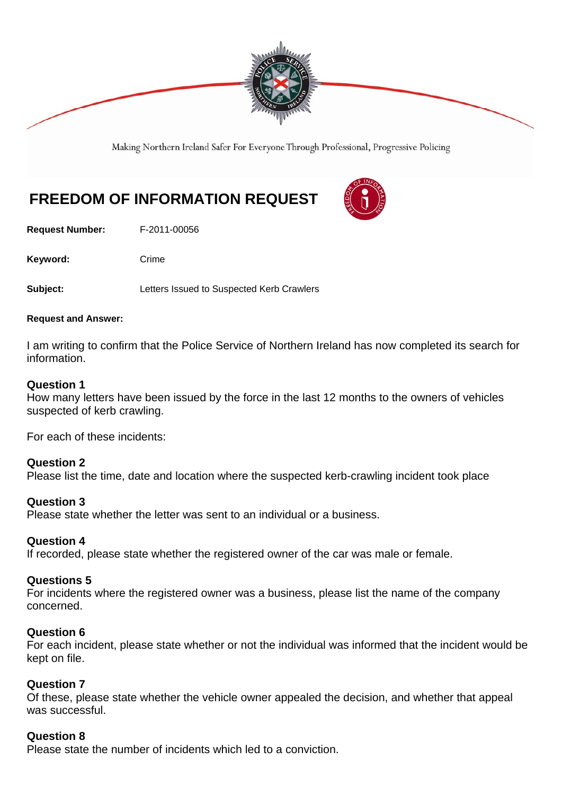

Making Northern Ireland Safer For Everyone Through Professional, Progressive Policing

# **FREEDOM OF INFORMATION REQUEST**

**Request Number:** F-2011-00056

Keyword: Crime

**Subject:** Letters Issued to Suspected Kerb Crawlers

#### **Request and Answer:**

I am writing to confirm that the Police Service of Northern Ireland has now completed its search for information.

### **Question 1**

How many letters have been issued by the force in the last 12 months to the owners of vehicles suspected of kerb crawling.

For each of these incidents:

### **Question 2**

Please list the time, date and location where the suspected kerb-crawling incident took place

### **Question 3**

Please state whether the letter was sent to an individual or a business.

### **Question 4**

If recorded, please state whether the registered owner of the car was male or female.

### **Questions 5**

For incidents where the registered owner was a business, please list the name of the company concerned.

### **Question 6**

For each incident, please state whether or not the individual was informed that the incident would be kept on file.

### **Question 7**

Of these, please state whether the vehicle owner appealed the decision, and whether that appeal was successful.

### **Question 8**

Please state the number of incidents which led to a conviction.